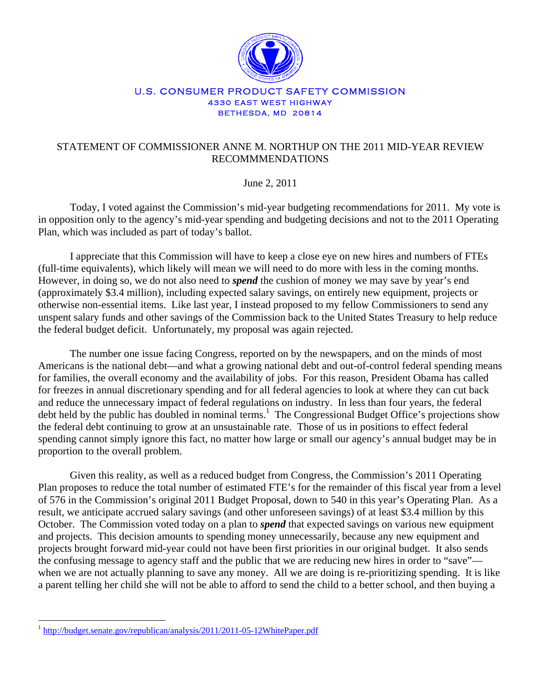

## U.S. CONSUMER PRODUCT SAFETY COMMISSION 4330 EAST WEST HIGHWAY BETHESDA, MD 20814

## STATEMENT OF COMMISSIONER ANNE M. NORTHUP ON THE 2011 MID-YEAR REVIEW RECOMMMENDATIONS

## June 2, 2011

Today, I voted against the Commission's mid-year budgeting recommendations for 2011. My vote is in opposition only to the agency's mid-year spending and budgeting decisions and not to the 2011 Operating Plan, which was included as part of today's ballot.

I appreciate that this Commission will have to keep a close eye on new hires and numbers of FTEs (full-time equivalents), which likely will mean we will need to do more with less in the coming months. However, in doing so, we do not also need to *spend* the cushion of money we may save by year's end (approximately \$3.4 million), including expected salary savings, on entirely new equipment, projects or otherwise non-essential items. Like last year, I instead proposed to my fellow Commissioners to send any unspent salary funds and other savings of the Commission back to the United States Treasury to help reduce the federal budget deficit. Unfortunately, my proposal was again rejected.

The number one issue facing Congress, reported on by the newspapers, and on the minds of most Americans is the national debt—and what a growing national debt and out-of-control federal spending means for families, the overall economy and the availability of jobs. For this reason, President Obama has called for freezes in annual discretionary spending and for all federal agencies to look at where they can cut back and reduce the unnecessary impact of federal regulations on industry. In less than four years, the federal debt held by the public has doubled in nominal terms.<sup>1</sup> The Congressional Budget Office's projections show the federal debt continuing to grow at an unsustainable rate. Those of us in positions to effect federal spending cannot simply ignore this fact, no matter how large or small our agency's annual budget may be in proportion to the overall problem.

Given this reality, as well as a reduced budget from Congress, the Commission's 2011 Operating Plan proposes to reduce the total number of estimated FTE's for the remainder of this fiscal year from a level of 576 in the Commission's original 2011 Budget Proposal, down to 540 in this year's Operating Plan. As a result, we anticipate accrued salary savings (and other unforeseen savings) of at least \$3.4 million by this October. The Commission voted today on a plan to *spend* that expected savings on various new equipment and projects. This decision amounts to spending money unnecessarily, because any new equipment and projects brought forward mid-year could not have been first priorities in our original budget. It also sends the confusing message to agency staff and the public that we are reducing new hires in order to "save" when we are not actually planning to save any money. All we are doing is re-prioritizing spending. It is like a parent telling her child she will not be able to afford to send the child to a better school, and then buying a

 $\overline{a}$ 

<sup>&</sup>lt;sup>1</sup> http://budget.senate.gov/republican/analysis/2011/2011-05-12WhitePaper.pdf